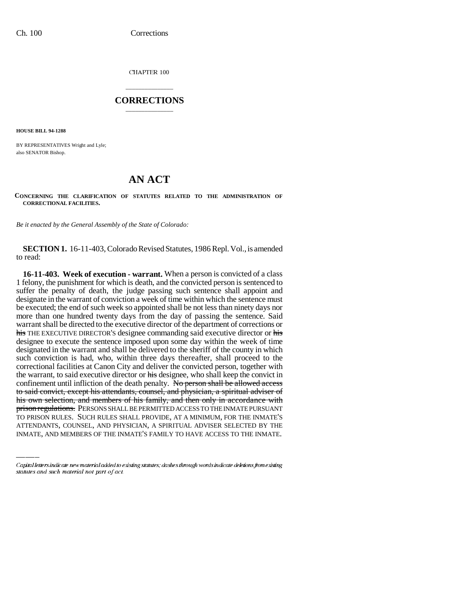CHAPTER 100

## \_\_\_\_\_\_\_\_\_\_\_\_\_\_\_ **CORRECTIONS** \_\_\_\_\_\_\_\_\_\_\_\_\_\_\_

**HOUSE BILL 94-1288**

BY REPRESENTATIVES Wright and Lyle; also SENATOR Bishop.

## **AN ACT**

**CONCERNING THE CLARIFICATION OF STATUTES RELATED TO THE ADMINISTRATION OF CORRECTIONAL FACILITIES.**

*Be it enacted by the General Assembly of the State of Colorado:*

**SECTION 1.** 16-11-403, Colorado Revised Statutes, 1986 Repl. Vol., is amended to read:

his own selection, and members of his family, and then only in accordance with **16-11-403. Week of execution - warrant.** When a person is convicted of a class 1 felony, the punishment for which is death, and the convicted person is sentenced to suffer the penalty of death, the judge passing such sentence shall appoint and designate in the warrant of conviction a week of time within which the sentence must be executed; the end of such week so appointed shall be not less than ninety days nor more than one hundred twenty days from the day of passing the sentence. Said warrant shall be directed to the executive director of the department of corrections or his THE EXECUTIVE DIRECTOR'S designee commanding said executive director or his designee to execute the sentence imposed upon some day within the week of time designated in the warrant and shall be delivered to the sheriff of the county in which such conviction is had, who, within three days thereafter, shall proceed to the correctional facilities at Canon City and deliver the convicted person, together with the warrant, to said executive director or his designee, who shall keep the convict in confinement until infliction of the death penalty. No person shall be allowed access to said convict, except his attendants, counsel, and physician, a spiritual adviser of prison regulations. PERSONS SHALL BE PERMITTED ACCESS TO THE INMATE PURSUANT TO PRISON RULES. SUCH RULES SHALL PROVIDE, AT A MINIMUM, FOR THE INMATE'S ATTENDANTS, COUNSEL, AND PHYSICIAN, A SPIRITUAL ADVISER SELECTED BY THE INMATE, AND MEMBERS OF THE INMATE'S FAMILY TO HAVE ACCESS TO THE INMATE.

Capital letters indicate new material added to existing statutes; dashes through words indicate deletions from existing statutes and such material not part of act.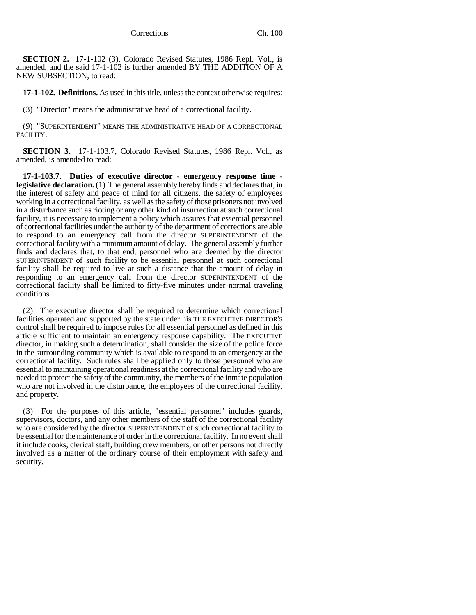**SECTION 2.** 17-1-102 (3), Colorado Revised Statutes, 1986 Repl. Vol., is amended, and the said 17-1-102 is further amended BY THE ADDITION OF A NEW SUBSECTION, to read:

**17-1-102. Definitions.** As used in this title, unless the context otherwise requires:

(3) "Director" means the administrative head of a correctional facility.

(9) "SUPERINTENDENT" MEANS THE ADMINISTRATIVE HEAD OF A CORRECTIONAL FACILITY.

**SECTION 3.** 17-1-103.7, Colorado Revised Statutes, 1986 Repl. Vol., as amended, is amended to read:

**17-1-103.7. Duties of executive director - emergency response time legislative declaration.** (1) The general assembly hereby finds and declares that, in the interest of safety and peace of mind for all citizens, the safety of employees working in a correctional facility, as well as the safety of those prisoners not involved in a disturbance such as rioting or any other kind of insurrection at such correctional facility, it is necessary to implement a policy which assures that essential personnel of correctional facilities under the authority of the department of corrections are able to respond to an emergency call from the director SUPERINTENDENT of the correctional facility with a minimum amount of delay. The general assembly further finds and declares that, to that end, personnel who are deemed by the director SUPERINTENDENT of such facility to be essential personnel at such correctional facility shall be required to live at such a distance that the amount of delay in responding to an emergency call from the director SUPERINTENDENT of the correctional facility shall be limited to fifty-five minutes under normal traveling conditions.

(2) The executive director shall be required to determine which correctional facilities operated and supported by the state under his THE EXECUTIVE DIRECTOR'S control shall be required to impose rules for all essential personnel as defined in this article sufficient to maintain an emergency response capability. The EXECUTIVE director, in making such a determination, shall consider the size of the police force in the surrounding community which is available to respond to an emergency at the correctional facility. Such rules shall be applied only to those personnel who are essential to maintaining operational readiness at the correctional facility and who are needed to protect the safety of the community, the members of the inmate population who are not involved in the disturbance, the employees of the correctional facility, and property.

(3) For the purposes of this article, "essential personnel" includes guards, supervisors, doctors, and any other members of the staff of the correctional facility who are considered by the <del>director</del> SUPERINTENDENT of such correctional facility to be essential for the maintenance of order in the correctional facility. In no event shall it include cooks, clerical staff, building crew members, or other persons not directly involved as a matter of the ordinary course of their employment with safety and security.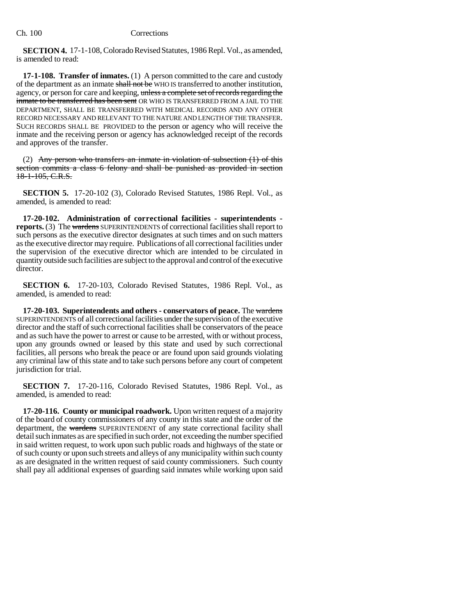**SECTION 4.** 17-1-108, Colorado Revised Statutes, 1986 Repl. Vol., as amended, is amended to read:

**17-1-108. Transfer of inmates.** (1) A person committed to the care and custody of the department as an inmate shall not be WHO IS transferred to another institution, agency, or person for care and keeping, unless a complete set of records regarding the inmate to be transferred has been sent OR WHO IS TRANSFERRED FROM A JAIL TO THE DEPARTMENT, SHALL BE TRANSFERRED WITH MEDICAL RECORDS AND ANY OTHER RECORD NECESSARY AND RELEVANT TO THE NATURE AND LENGTH OF THE TRANSFER. SUCH RECORDS SHALL BE PROVIDED to the person or agency who will receive the inmate and the receiving person or agency has acknowledged receipt of the records and approves of the transfer.

(2) Any person who transfers an inmate in violation of subsection (1) of this section commits a class 6 felony and shall be punished as provided in section 18-1-105, C.R.S.

**SECTION 5.** 17-20-102 (3), Colorado Revised Statutes, 1986 Repl. Vol., as amended, is amended to read:

**17-20-102. Administration of correctional facilities - superintendents reports.** (3) The wardens SUPERINTENDENTS of correctional facilities shall report to such persons as the executive director designates at such times and on such matters as the executive director may require. Publications of all correctional facilities under the supervision of the executive director which are intended to be circulated in quantity outside such facilities are subject to the approval and control of the executive director.

**SECTION 6.** 17-20-103, Colorado Revised Statutes, 1986 Repl. Vol., as amended, is amended to read:

**17-20-103. Superintendents and others - conservators of peace.** The wardens SUPERINTENDENTS of all correctional facilities under the supervision of the executive director and the staff of such correctional facilities shall be conservators of the peace and as such have the power to arrest or cause to be arrested, with or without process, upon any grounds owned or leased by this state and used by such correctional facilities, all persons who break the peace or are found upon said grounds violating any criminal law of this state and to take such persons before any court of competent jurisdiction for trial.

**SECTION 7.** 17-20-116, Colorado Revised Statutes, 1986 Repl. Vol., as amended, is amended to read:

**17-20-116. County or municipal roadwork.** Upon written request of a majority of the board of county commissioners of any county in this state and the order of the department, the wardens SUPERINTENDENT of any state correctional facility shall detail such inmates as are specified in such order, not exceeding the number specified in said written request, to work upon such public roads and highways of the state or of such county or upon such streets and alleys of any municipality within such county as are designated in the written request of said county commissioners. Such county shall pay all additional expenses of guarding said inmates while working upon said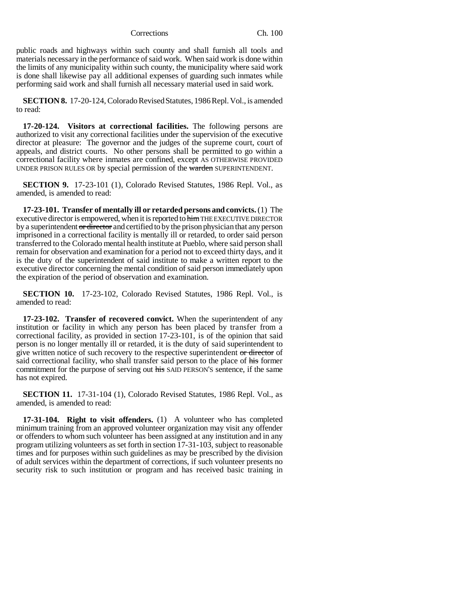Corrections Ch. 100

public roads and highways within such county and shall furnish all tools and materials necessary in the performance of said work. When said work is done within the limits of any municipality within such county, the municipality where said work is done shall likewise pay all additional expenses of guarding such inmates while performing said work and shall furnish all necessary material used in said work.

**SECTION 8.** 17-20-124, Colorado Revised Statutes, 1986 Repl. Vol., is amended to read:

**17-20-124. Visitors at correctional facilities.** The following persons are authorized to visit any correctional facilities under the supervision of the executive director at pleasure: The governor and the judges of the supreme court, court of appeals, and district courts. No other persons shall be permitted to go within a correctional facility where inmates are confined, except AS OTHERWISE PROVIDED UNDER PRISON RULES OR by special permission of the warden SUPERINTENDENT.

**SECTION 9.** 17-23-101 (1), Colorado Revised Statutes, 1986 Repl. Vol., as amended, is amended to read:

**17-23-101. Transfer of mentally ill or retarded persons and convicts.** (1) The executive director is empowered, when it is reported to him THE EXECUTIVE DIRECTOR by a superintendent or director and certified to by the prison physician that any person imprisoned in a correctional facility is mentally ill or retarded, to order said person transferred to the Colorado mental health institute at Pueblo, where said person shall remain for observation and examination for a period not to exceed thirty days, and it is the duty of the superintendent of said institute to make a written report to the executive director concerning the mental condition of said person immediately upon the expiration of the period of observation and examination.

**SECTION 10.** 17-23-102, Colorado Revised Statutes, 1986 Repl. Vol., is amended to read:

**17-23-102. Transfer of recovered convict.** When the superintendent of any institution or facility in which any person has been placed by transfer from a correctional facility, as provided in section 17-23-101, is of the opinion that said person is no longer mentally ill or retarded, it is the duty of said superintendent to give written notice of such recovery to the respective superintendent or director of said correctional facility, who shall transfer said person to the place of his former commitment for the purpose of serving out his SAID PERSON'S sentence, if the same has not expired.

**SECTION 11.** 17-31-104 (1), Colorado Revised Statutes, 1986 Repl. Vol., as amended, is amended to read:

**17-31-104. Right to visit offenders.** (1) A volunteer who has completed minimum training from an approved volunteer organization may visit any offender or offenders to whom such volunteer has been assigned at any institution and in any program utilizing volunteers as set forth in section 17-31-103, subject to reasonable times and for purposes within such guidelines as may be prescribed by the division of adult services within the department of corrections, if such volunteer presents no security risk to such institution or program and has received basic training in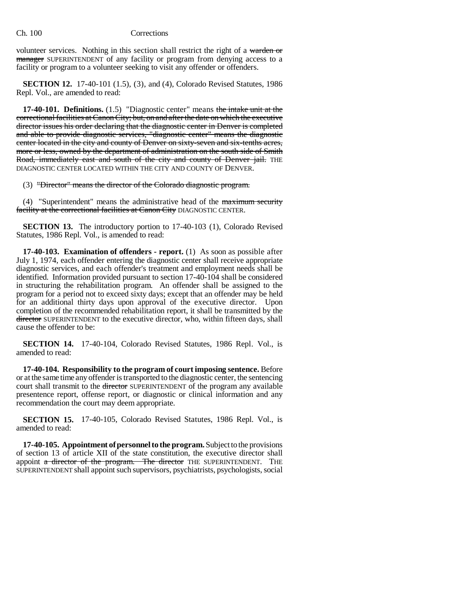## Ch. 100 Corrections

volunteer services. Nothing in this section shall restrict the right of a warden or manager SUPERINTENDENT of any facility or program from denying access to a facility or program to a volunteer seeking to visit any offender or offenders.

**SECTION 12.** 17-40-101 (1.5), (3), and (4), Colorado Revised Statutes, 1986 Repl. Vol., are amended to read:

**17-40-101. Definitions.** (1.5) "Diagnostic center" means the intake unit at the correctional facilities at Canon City; but, on and after the date on which the executive director issues his order declaring that the diagnostic center in Denver is completed and able to provide diagnostic services, "diagnostic center" means the diagnostic center located in the city and county of Denver on sixty-seven and six-tenths acres, more or less, owned by the department of administration on the south side of Smith Road, immediately east and south of the city and county of Denver jail. THE DIAGNOSTIC CENTER LOCATED WITHIN THE CITY AND COUNTY OF DENVER.

(3) "Director" means the director of the Colorado diagnostic program.

(4) "Superintendent" means the administrative head of the maximum security facility at the correctional facilities at Canon City DIAGNOSTIC CENTER.

**SECTION 13.** The introductory portion to 17-40-103 (1), Colorado Revised Statutes, 1986 Repl. Vol., is amended to read:

**17-40-103. Examination of offenders - report.** (1) As soon as possible after July 1, 1974, each offender entering the diagnostic center shall receive appropriate diagnostic services, and each offender's treatment and employment needs shall be identified. Information provided pursuant to section 17-40-104 shall be considered in structuring the rehabilitation program. An offender shall be assigned to the program for a period not to exceed sixty days; except that an offender may be held for an additional thirty days upon approval of the executive director. Upon completion of the recommended rehabilitation report, it shall be transmitted by the director SUPERINTENDENT to the executive director, who, within fifteen days, shall cause the offender to be:

**SECTION 14.** 17-40-104, Colorado Revised Statutes, 1986 Repl. Vol., is amended to read:

**17-40-104. Responsibility to the program of court imposing sentence.** Before or at the same time any offender is transported to the diagnostic center, the sentencing court shall transmit to the <del>director</del> SUPERINTENDENT of the program any available presentence report, offense report, or diagnostic or clinical information and any recommendation the court may deem appropriate.

**SECTION 15.** 17-40-105, Colorado Revised Statutes, 1986 Repl. Vol., is amended to read:

**17-40-105. Appointment of personnel to the program.** Subject to the provisions of section 13 of article XII of the state constitution, the executive director shall appoint a director of the program. The director THE SUPERINTENDENT. THE SUPERINTENDENT shall appoint such supervisors, psychiatrists, psychologists, social